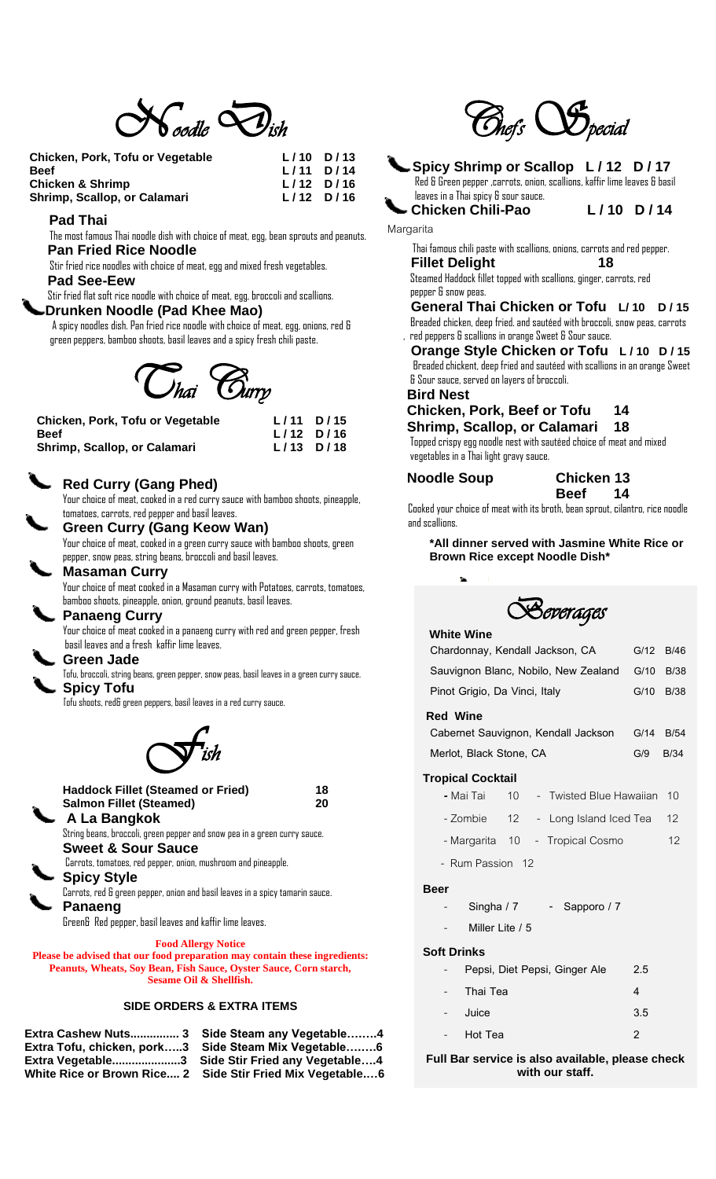

| Chicken, Pork, Tofu or Vegetable | $L/10$ D/13 |  |
|----------------------------------|-------------|--|
| Beef                             | $L/11$ D/14 |  |
| Chicken & Shrimp                 | $L/12$ D/16 |  |
| Shrimp, Scallop, or Calamari     | $L/12$ D/16 |  |
|                                  |             |  |

#### **Pad Thai**

The most famous Thai noodle dish with choice of meat, egg, bean sprouts and peanuts. **Pan Fried Rice Noodle** 

 Stir fried rice noodles with choice of meat, egg and mixed fresh vegetables. **Pad See-Eew** 

Stir fried flat soft rice noodle with choice of meat, egg, broccoli and scallions.

# **Drunken Noodle (Pad Khee Mao)**

A spicy noodles dish. Pan fried rice noodle with choice of meat, egg, onions, red & green peppers, bamboo shoots, basil leaves and a spicy fresh chili paste.

 *Thai* C*urry* 

| Chicken, Pork, Tofu or Vegetable | $L/11$ D/15 |
|----------------------------------|-------------|
| <b>Beef</b>                      | $L/12$ D/16 |
| Shrimp, Scallop, or Calamari     | $L/13$ D/18 |

## **Red Curry (Gang Phed)**

Your choice of meat, cooked in a red curry sauce with bamboo shoots, pineapple, tomatoes, carrots, red pepper and basil leaves.

**Green Curry (Gang Keow Wan)**

Your choice of meat, cooked in a green curry sauce with bamboo shoots, green pepper, snow peas, string beans, broccoli and basil leaves.

## **Masaman Curry**

Your choice of meat cooked in a Masaman curry with Potatoes, carrots, tomatoes, bamboo shoots, pineapple, onion, ground peanuts, basil leaves.

## **Panaeng Curry**

Your choice of meat cooked in a panaeng curry with red and green pepper, fresh basil leaves and a fresh kaffir lime leaves.

#### **Green Jade**

Tofu, broccoli, string beans, green pepper, snow peas, basil leaves in a green curry sauce. **Spicy Tofu**

Tofu shoots, red& green peppers, basil leaves in a red curry sauce.

 $\mathcal{S}$ *ish* 

**Haddock Fillet (Steamed or Fried) 18 Salmon Fillet (Steamed) 20 A La Bangkok** String beans, broccoli, green pepper and snow pea in a green curry sauce. **Sweet & Sour Sauce** Carrots, tomatoes, red pepper, onion, mushroom and pineapple. **Spicy Style** Carrots, red & green pepper, onion and basil leaves in a spicy tamarin sauce. **Panaeng**

Green& Red pepper, basil leaves and kaffir lime leaves.

**Food Allergy Notice**

**Please be advised that our food preparation may contain these ingredients: Peanuts, Wheats, Soy Bean, Fish Sauce, Oyster Sauce, Corn starch, Sesame Oil & Shellfish.**

#### **SIDE ORDERS & EXTRA ITEMS**

**White Rice or Brown Rice.... 2 Side Stir Fried Mix Vegetable.…6**

**Extra Cashew Nuts............... 3 Side Steam any Vegetable….….4 Extra Tofu, chicken, pork…..3 Side Steam Mix Vegetable….….6 Extra Vegetable.....................3 Side Stir Fried any Vegetable….4**



## **Spicy Shrimp or Scallop L / 12 D / 17**

 Red & Green pepper ,carrots, onion, scallions, kaffir lime leaves & basil leaves in a Thai spicy & sour sauce.

**Chicken Chili-Pao L / 10 D / 14**

Margarita

#### Thai famous chili paste with scallions, onions, carrots and red pepper.  **Fillet Delight 18**

 Steamed Haddock fillet topped with scallions, ginger, carrots, red pepper & snow peas.

 **General Thai Chicken or Tofu L/ 10 D / 15** Breaded chicken, deep fried. and sautéed with broccoli, snow peas, carrots

 , red peppers & scallions in orange Sweet & Sour sauce.  **Orange Style Chicken or Tofu L / 10 D / 15** Breaded chickent, deep fried and sautéed with scallions in an orange Sweet & Sour sauce, served on layers of broccoli.

 **Bird Nest** 

### **Chicken, Pork, Beef or Tofu 14 Shrimp, Scallop, or Calamari 18**

Topped crispy egg noodle nest with sautéed choice of meat and mixed vegetables in a Thai light gravy sauce.

## **Noodle Soup Chicken 13**

#### **Beef 14**

 Cooked your choice of meat with its broth, bean sprout, cilantro, rice noodle and scallions. ä

#### **\*All dinner served with Jasmine White Rice or Brown Rice except Noodle Dish\***



#### **White Wine**

| Chardonnay, Kendall Jackson, CA      | G/12 | B/46 |
|--------------------------------------|------|------|
| Sauvignon Blanc, Nobilo, New Zealand | G/10 | B/38 |
| Pinot Grigio, Da Vinci, Italy        | G/10 | B/38 |
| <b>Red Wine</b>                      |      |      |
| Cabernet Sauvignon, Kendall Jackson  | G/14 | B/54 |
| Merlot, Black Stone, CA              | G/9  | B/34 |
|                                      |      |      |

#### **Tropical Cocktail**

- **-** Mai Tai 10 Twisted Blue Hawaiian 10
- Zombie 12 Long Island Iced Tea 12
- Margarita 10 Tropical Cosmo 12
- Rum Passion 12

#### **Beer**

- **Singha / 7 Sapporo / 7**
	- **Miller Lite / 5**

#### **Soft Drinks**

| Pepsi, Diet Pepsi, Ginger Ale | 2.5 |
|-------------------------------|-----|
|                               |     |

- **Thai Tea 4**
- **Juice 3.5**
- **Hot Tea 2**

#### **Full Bar service is also available, please check with our staff.**